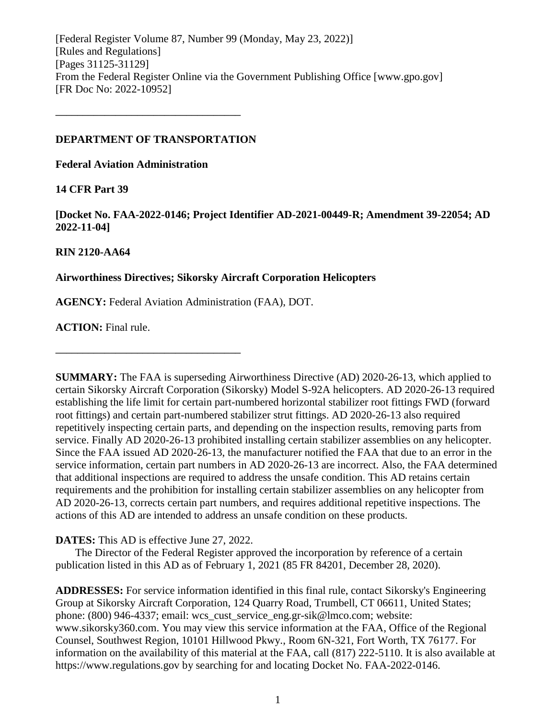[Federal Register Volume 87, Number 99 (Monday, May 23, 2022)] [Rules and Regulations] [Pages 31125-31129] From the Federal Register Online via the Government Publishing Office [www.gpo.gov] [FR Doc No: 2022-10952]

### **DEPARTMENT OF TRANSPORTATION**

**––––––––––––––––––––––––––––––––––**

**Federal Aviation Administration**

### **14 CFR Part 39**

**[Docket No. FAA-2022-0146; Project Identifier AD-2021-00449-R; Amendment 39-22054; AD 2022-11-04]**

# **RIN 2120-AA64**

# **Airworthiness Directives; Sikorsky Aircraft Corporation Helicopters**

**AGENCY:** Federal Aviation Administration (FAA), DOT.

**ACTION:** Final rule.

**SUMMARY:** The FAA is superseding Airworthiness Directive (AD) 2020-26-13, which applied to certain Sikorsky Aircraft Corporation (Sikorsky) Model S-92A helicopters. AD 2020-26-13 required establishing the life limit for certain part-numbered horizontal stabilizer root fittings FWD (forward root fittings) and certain part-numbered stabilizer strut fittings. AD 2020-26-13 also required repetitively inspecting certain parts, and depending on the inspection results, removing parts from service. Finally AD 2020-26-13 prohibited installing certain stabilizer assemblies on any helicopter. Since the FAA issued AD 2020-26-13, the manufacturer notified the FAA that due to an error in the service information, certain part numbers in AD 2020-26-13 are incorrect. Also, the FAA determined that additional inspections are required to address the unsafe condition. This AD retains certain requirements and the prohibition for installing certain stabilizer assemblies on any helicopter from AD 2020-26-13, corrects certain part numbers, and requires additional repetitive inspections. The actions of this AD are intended to address an unsafe condition on these products.

### **DATES:** This AD is effective June 27, 2022.

**––––––––––––––––––––––––––––––––––**

The Director of the Federal Register approved the incorporation by reference of a certain publication listed in this AD as of February 1, 2021 (85 FR 84201, December 28, 2020).

**ADDRESSES:** For service information identified in this final rule, contact Sikorsky's Engineering Group at Sikorsky Aircraft Corporation, 124 Quarry Road, Trumbell, CT 06611, United States; phone: (800) 946-4337; email: wcs\_cust\_service\_eng.gr-sik@lmco.com; website: www.sikorsky360.com. You may view this service information at the FAA, Office of the Regional Counsel, Southwest Region, 10101 Hillwood Pkwy., Room 6N-321, Fort Worth, TX 76177. For information on the availability of this material at the FAA, call (817) 222-5110. It is also available at https://www.regulations.gov by searching for and locating Docket No. FAA-2022-0146.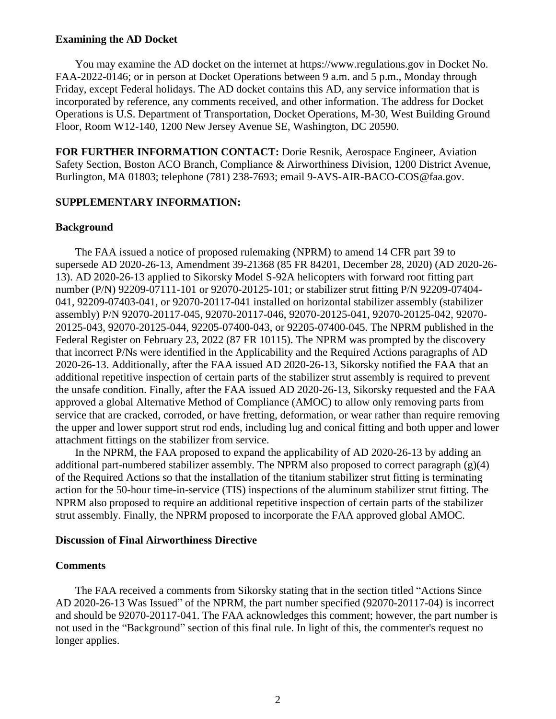#### **Examining the AD Docket**

You may examine the AD docket on the internet at https://www.regulations.gov in Docket No. FAA-2022-0146; or in person at Docket Operations between 9 a.m. and 5 p.m., Monday through Friday, except Federal holidays. The AD docket contains this AD, any service information that is incorporated by reference, any comments received, and other information. The address for Docket Operations is U.S. Department of Transportation, Docket Operations, M-30, West Building Ground Floor, Room W12-140, 1200 New Jersey Avenue SE, Washington, DC 20590.

**FOR FURTHER INFORMATION CONTACT:** Dorie Resnik, Aerospace Engineer, Aviation Safety Section, Boston ACO Branch, Compliance & Airworthiness Division, 1200 District Avenue, Burlington, MA 01803; telephone (781) 238-7693; email 9-AVS-AIR-BACO-COS@faa.gov.

#### **SUPPLEMENTARY INFORMATION:**

### **Background**

The FAA issued a notice of proposed rulemaking (NPRM) to amend 14 CFR part 39 to supersede AD 2020-26-13, Amendment 39-21368 (85 FR 84201, December 28, 2020) (AD 2020-26- 13). AD 2020-26-13 applied to Sikorsky Model S-92A helicopters with forward root fitting part number (P/N) 92209-07111-101 or 92070-20125-101; or stabilizer strut fitting P/N 92209-07404- 041, 92209-07403-041, or 92070-20117-041 installed on horizontal stabilizer assembly (stabilizer assembly) P/N 92070-20117-045, 92070-20117-046, 92070-20125-041, 92070-20125-042, 92070- 20125-043, 92070-20125-044, 92205-07400-043, or 92205-07400-045. The NPRM published in the Federal Register on February 23, 2022 (87 FR 10115). The NPRM was prompted by the discovery that incorrect P/Ns were identified in the Applicability and the Required Actions paragraphs of AD 2020-26-13. Additionally, after the FAA issued AD 2020-26-13, Sikorsky notified the FAA that an additional repetitive inspection of certain parts of the stabilizer strut assembly is required to prevent the unsafe condition. Finally, after the FAA issued AD 2020-26-13, Sikorsky requested and the FAA approved a global Alternative Method of Compliance (AMOC) to allow only removing parts from service that are cracked, corroded, or have fretting, deformation, or wear rather than require removing the upper and lower support strut rod ends, including lug and conical fitting and both upper and lower attachment fittings on the stabilizer from service.

In the NPRM, the FAA proposed to expand the applicability of AD 2020-26-13 by adding an additional part-numbered stabilizer assembly. The NPRM also proposed to correct paragraph (g)(4) of the Required Actions so that the installation of the titanium stabilizer strut fitting is terminating action for the 50-hour time-in-service (TIS) inspections of the aluminum stabilizer strut fitting. The NPRM also proposed to require an additional repetitive inspection of certain parts of the stabilizer strut assembly. Finally, the NPRM proposed to incorporate the FAA approved global AMOC.

### **Discussion of Final Airworthiness Directive**

#### **Comments**

The FAA received a comments from Sikorsky stating that in the section titled "Actions Since AD 2020-26-13 Was Issued" of the NPRM, the part number specified (92070-20117-04) is incorrect and should be 92070-20117-041. The FAA acknowledges this comment; however, the part number is not used in the "Background" section of this final rule. In light of this, the commenter's request no longer applies.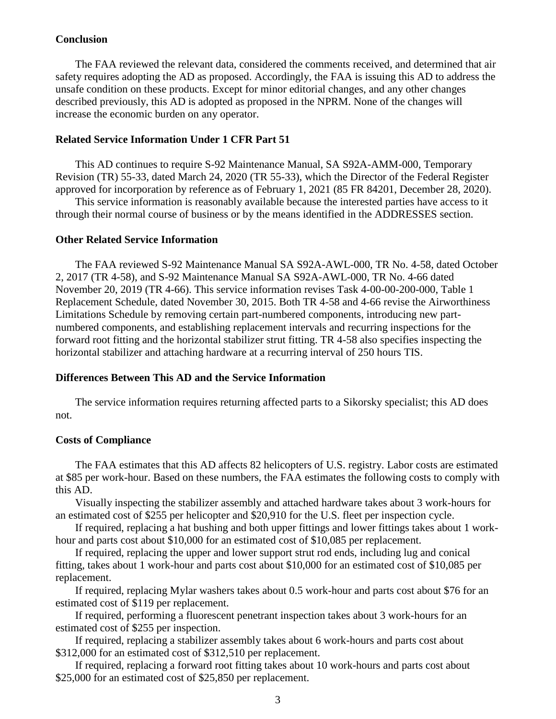#### **Conclusion**

The FAA reviewed the relevant data, considered the comments received, and determined that air safety requires adopting the AD as proposed. Accordingly, the FAA is issuing this AD to address the unsafe condition on these products. Except for minor editorial changes, and any other changes described previously, this AD is adopted as proposed in the NPRM. None of the changes will increase the economic burden on any operator.

#### **Related Service Information Under 1 CFR Part 51**

This AD continues to require S-92 Maintenance Manual, SA S92A-AMM-000, Temporary Revision (TR) 55-33, dated March 24, 2020 (TR 55-33), which the Director of the Federal Register approved for incorporation by reference as of February 1, 2021 (85 FR 84201, December 28, 2020).

This service information is reasonably available because the interested parties have access to it through their normal course of business or by the means identified in the ADDRESSES section.

#### **Other Related Service Information**

The FAA reviewed S-92 Maintenance Manual SA S92A-AWL-000, TR No. 4-58, dated October 2, 2017 (TR 4-58), and S-92 Maintenance Manual SA S92A-AWL-000, TR No. 4-66 dated November 20, 2019 (TR 4-66). This service information revises Task 4-00-00-200-000, Table 1 Replacement Schedule, dated November 30, 2015. Both TR 4-58 and 4-66 revise the Airworthiness Limitations Schedule by removing certain part-numbered components, introducing new partnumbered components, and establishing replacement intervals and recurring inspections for the forward root fitting and the horizontal stabilizer strut fitting. TR 4-58 also specifies inspecting the horizontal stabilizer and attaching hardware at a recurring interval of 250 hours TIS.

#### **Differences Between This AD and the Service Information**

The service information requires returning affected parts to a Sikorsky specialist; this AD does not.

#### **Costs of Compliance**

The FAA estimates that this AD affects 82 helicopters of U.S. registry. Labor costs are estimated at \$85 per work-hour. Based on these numbers, the FAA estimates the following costs to comply with this AD.

Visually inspecting the stabilizer assembly and attached hardware takes about 3 work-hours for an estimated cost of \$255 per helicopter and \$20,910 for the U.S. fleet per inspection cycle.

If required, replacing a hat bushing and both upper fittings and lower fittings takes about 1 workhour and parts cost about \$10,000 for an estimated cost of \$10,085 per replacement.

If required, replacing the upper and lower support strut rod ends, including lug and conical fitting, takes about 1 work-hour and parts cost about \$10,000 for an estimated cost of \$10,085 per replacement.

If required, replacing Mylar washers takes about 0.5 work-hour and parts cost about \$76 for an estimated cost of \$119 per replacement.

If required, performing a fluorescent penetrant inspection takes about 3 work-hours for an estimated cost of \$255 per inspection.

If required, replacing a stabilizer assembly takes about 6 work-hours and parts cost about \$312,000 for an estimated cost of \$312,510 per replacement.

If required, replacing a forward root fitting takes about 10 work-hours and parts cost about \$25,000 for an estimated cost of \$25,850 per replacement.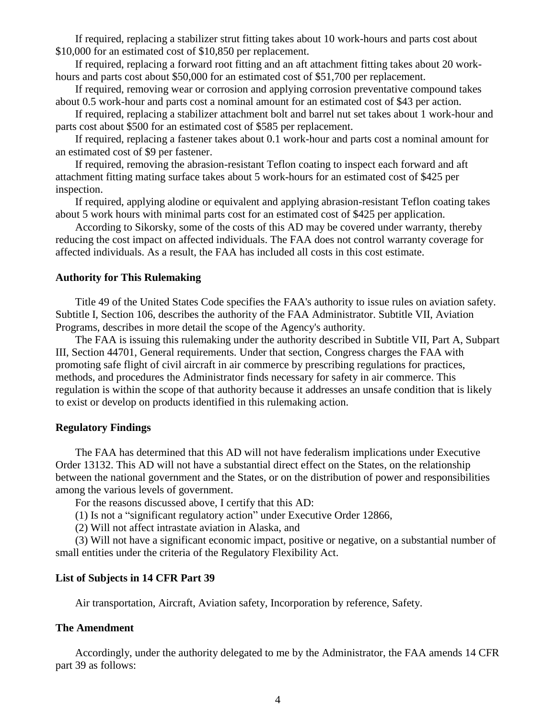If required, replacing a stabilizer strut fitting takes about 10 work-hours and parts cost about \$10,000 for an estimated cost of \$10,850 per replacement.

If required, replacing a forward root fitting and an aft attachment fitting takes about 20 workhours and parts cost about \$50,000 for an estimated cost of \$51,700 per replacement.

If required, removing wear or corrosion and applying corrosion preventative compound takes about 0.5 work-hour and parts cost a nominal amount for an estimated cost of \$43 per action.

If required, replacing a stabilizer attachment bolt and barrel nut set takes about 1 work-hour and parts cost about \$500 for an estimated cost of \$585 per replacement.

If required, replacing a fastener takes about 0.1 work-hour and parts cost a nominal amount for an estimated cost of \$9 per fastener.

If required, removing the abrasion-resistant Teflon coating to inspect each forward and aft attachment fitting mating surface takes about 5 work-hours for an estimated cost of \$425 per inspection.

If required, applying alodine or equivalent and applying abrasion-resistant Teflon coating takes about 5 work hours with minimal parts cost for an estimated cost of \$425 per application.

According to Sikorsky, some of the costs of this AD may be covered under warranty, thereby reducing the cost impact on affected individuals. The FAA does not control warranty coverage for affected individuals. As a result, the FAA has included all costs in this cost estimate.

#### **Authority for This Rulemaking**

Title 49 of the United States Code specifies the FAA's authority to issue rules on aviation safety. Subtitle I, Section 106, describes the authority of the FAA Administrator. Subtitle VII, Aviation Programs, describes in more detail the scope of the Agency's authority.

The FAA is issuing this rulemaking under the authority described in Subtitle VII, Part A, Subpart III, Section 44701, General requirements. Under that section, Congress charges the FAA with promoting safe flight of civil aircraft in air commerce by prescribing regulations for practices, methods, and procedures the Administrator finds necessary for safety in air commerce. This regulation is within the scope of that authority because it addresses an unsafe condition that is likely to exist or develop on products identified in this rulemaking action.

#### **Regulatory Findings**

The FAA has determined that this AD will not have federalism implications under Executive Order 13132. This AD will not have a substantial direct effect on the States, on the relationship between the national government and the States, or on the distribution of power and responsibilities among the various levels of government.

For the reasons discussed above, I certify that this AD:

(1) Is not a "significant regulatory action" under Executive Order 12866,

(2) Will not affect intrastate aviation in Alaska, and

(3) Will not have a significant economic impact, positive or negative, on a substantial number of small entities under the criteria of the Regulatory Flexibility Act.

#### **List of Subjects in 14 CFR Part 39**

Air transportation, Aircraft, Aviation safety, Incorporation by reference, Safety.

#### **The Amendment**

Accordingly, under the authority delegated to me by the Administrator, the FAA amends 14 CFR part 39 as follows: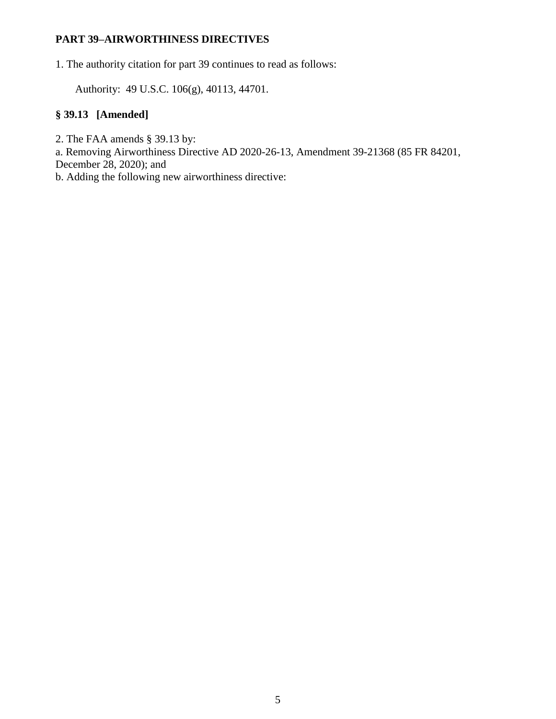# **PART 39–AIRWORTHINESS DIRECTIVES**

1. The authority citation for part 39 continues to read as follows:

Authority: 49 U.S.C. 106(g), 40113, 44701.

# **§ 39.13 [Amended]**

2. The FAA amends § 39.13 by:

a. Removing Airworthiness Directive AD 2020-26-13, Amendment 39-21368 (85 FR 84201,

December 28, 2020); and

b. Adding the following new airworthiness directive: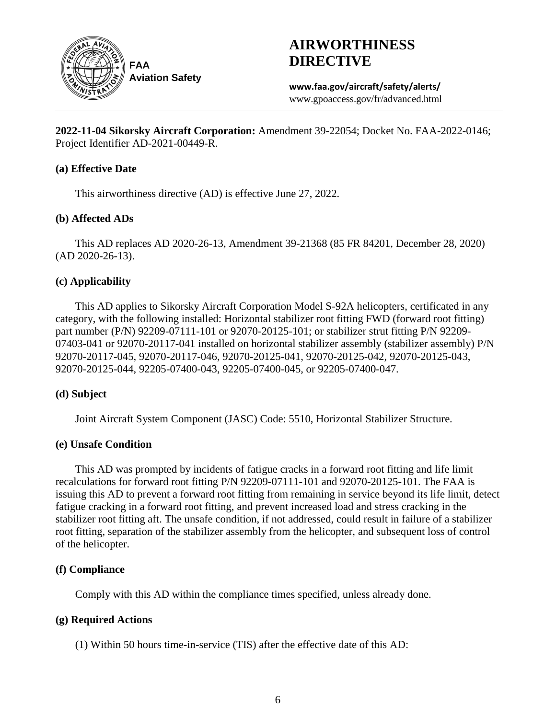

**FAA Aviation Safety**

# **AIRWORTHINESS DIRECTIVE**

**www.faa.gov/aircraft/safety/alerts/** www.gpoaccess.gov/fr/advanced.html

**2022-11-04 Sikorsky Aircraft Corporation:** Amendment 39-22054; Docket No. FAA-2022-0146; Project Identifier AD-2021-00449-R.

# **(a) Effective Date**

This airworthiness directive (AD) is effective June 27, 2022.

# **(b) Affected ADs**

This AD replaces AD 2020-26-13, Amendment 39-21368 (85 FR 84201, December 28, 2020) (AD 2020-26-13).

# **(c) Applicability**

This AD applies to Sikorsky Aircraft Corporation Model S-92A helicopters, certificated in any category, with the following installed: Horizontal stabilizer root fitting FWD (forward root fitting) part number (P/N) 92209-07111-101 or 92070-20125-101; or stabilizer strut fitting P/N 92209- 07403-041 or 92070-20117-041 installed on horizontal stabilizer assembly (stabilizer assembly) P/N 92070-20117-045, 92070-20117-046, 92070-20125-041, 92070-20125-042, 92070-20125-043, 92070-20125-044, 92205-07400-043, 92205-07400-045, or 92205-07400-047.

### **(d) Subject**

Joint Aircraft System Component (JASC) Code: 5510, Horizontal Stabilizer Structure.

### **(e) Unsafe Condition**

This AD was prompted by incidents of fatigue cracks in a forward root fitting and life limit recalculations for forward root fitting P/N 92209-07111-101 and 92070-20125-101. The FAA is issuing this AD to prevent a forward root fitting from remaining in service beyond its life limit, detect fatigue cracking in a forward root fitting, and prevent increased load and stress cracking in the stabilizer root fitting aft. The unsafe condition, if not addressed, could result in failure of a stabilizer root fitting, separation of the stabilizer assembly from the helicopter, and subsequent loss of control of the helicopter.

# **(f) Compliance**

Comply with this AD within the compliance times specified, unless already done.

# **(g) Required Actions**

(1) Within 50 hours time-in-service (TIS) after the effective date of this AD: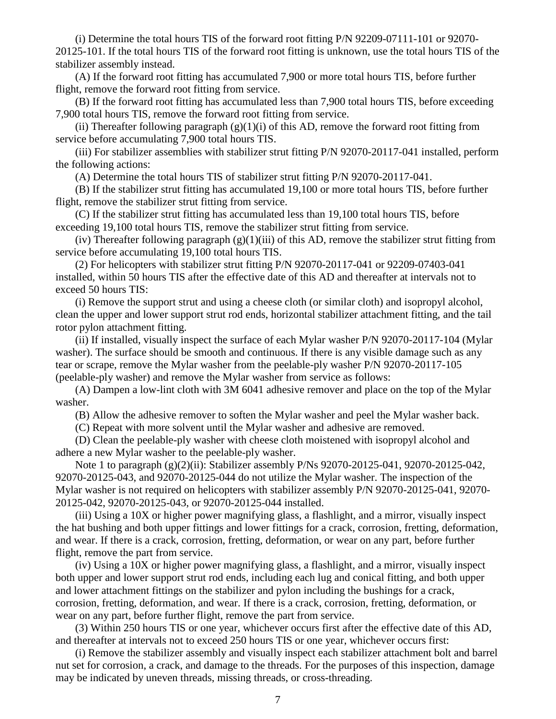(i) Determine the total hours TIS of the forward root fitting P/N 92209-07111-101 or 92070- 20125-101. If the total hours TIS of the forward root fitting is unknown, use the total hours TIS of the stabilizer assembly instead.

(A) If the forward root fitting has accumulated 7,900 or more total hours TIS, before further flight, remove the forward root fitting from service.

(B) If the forward root fitting has accumulated less than 7,900 total hours TIS, before exceeding 7,900 total hours TIS, remove the forward root fitting from service.

(ii) Thereafter following paragraph  $(g)(1)(i)$  of this AD, remove the forward root fitting from service before accumulating 7,900 total hours TIS.

(iii) For stabilizer assemblies with stabilizer strut fitting P/N 92070-20117-041 installed, perform the following actions:

(A) Determine the total hours TIS of stabilizer strut fitting P/N 92070-20117-041.

(B) If the stabilizer strut fitting has accumulated 19,100 or more total hours TIS, before further flight, remove the stabilizer strut fitting from service.

(C) If the stabilizer strut fitting has accumulated less than 19,100 total hours TIS, before exceeding 19,100 total hours TIS, remove the stabilizer strut fitting from service.

(iv) Thereafter following paragraph  $(g)(1)(iii)$  of this AD, remove the stabilizer strut fitting from service before accumulating 19,100 total hours TIS.

(2) For helicopters with stabilizer strut fitting P/N 92070-20117-041 or 92209-07403-041 installed, within 50 hours TIS after the effective date of this AD and thereafter at intervals not to exceed 50 hours TIS:

(i) Remove the support strut and using a cheese cloth (or similar cloth) and isopropyl alcohol, clean the upper and lower support strut rod ends, horizontal stabilizer attachment fitting, and the tail rotor pylon attachment fitting.

(ii) If installed, visually inspect the surface of each Mylar washer P/N 92070-20117-104 (Mylar washer). The surface should be smooth and continuous. If there is any visible damage such as any tear or scrape, remove the Mylar washer from the peelable-ply washer P/N 92070-20117-105 (peelable-ply washer) and remove the Mylar washer from service as follows:

(A) Dampen a low-lint cloth with 3M 6041 adhesive remover and place on the top of the Mylar washer.

(B) Allow the adhesive remover to soften the Mylar washer and peel the Mylar washer back.

(C) Repeat with more solvent until the Mylar washer and adhesive are removed.

(D) Clean the peelable-ply washer with cheese cloth moistened with isopropyl alcohol and adhere a new Mylar washer to the peelable-ply washer.

Note 1 to paragraph (g)(2)(ii): Stabilizer assembly P/Ns 92070-20125-041, 92070-20125-042, 92070-20125-043, and 92070-20125-044 do not utilize the Mylar washer. The inspection of the Mylar washer is not required on helicopters with stabilizer assembly P/N 92070-20125-041, 92070- 20125-042, 92070-20125-043, or 92070-20125-044 installed.

(iii) Using a 10X or higher power magnifying glass, a flashlight, and a mirror, visually inspect the hat bushing and both upper fittings and lower fittings for a crack, corrosion, fretting, deformation, and wear. If there is a crack, corrosion, fretting, deformation, or wear on any part, before further flight, remove the part from service.

(iv) Using a 10X or higher power magnifying glass, a flashlight, and a mirror, visually inspect both upper and lower support strut rod ends, including each lug and conical fitting, and both upper and lower attachment fittings on the stabilizer and pylon including the bushings for a crack, corrosion, fretting, deformation, and wear. If there is a crack, corrosion, fretting, deformation, or wear on any part, before further flight, remove the part from service.

(3) Within 250 hours TIS or one year, whichever occurs first after the effective date of this AD, and thereafter at intervals not to exceed 250 hours TIS or one year, whichever occurs first:

(i) Remove the stabilizer assembly and visually inspect each stabilizer attachment bolt and barrel nut set for corrosion, a crack, and damage to the threads. For the purposes of this inspection, damage may be indicated by uneven threads, missing threads, or cross-threading.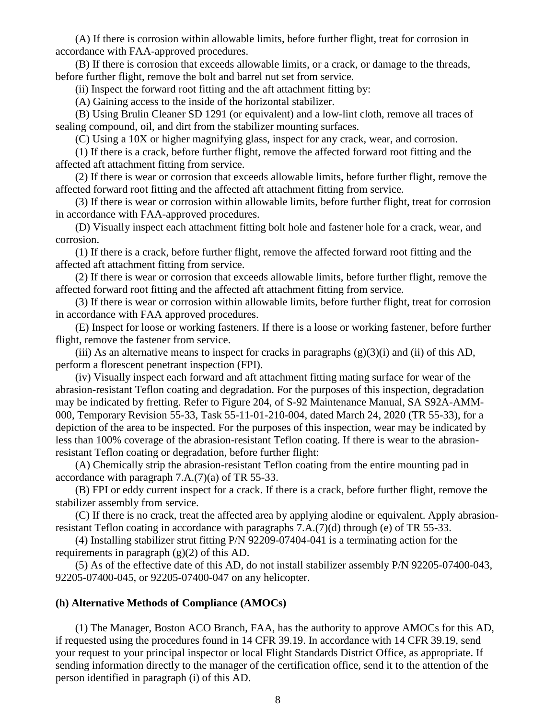(A) If there is corrosion within allowable limits, before further flight, treat for corrosion in accordance with FAA-approved procedures.

(B) If there is corrosion that exceeds allowable limits, or a crack, or damage to the threads, before further flight, remove the bolt and barrel nut set from service.

(ii) Inspect the forward root fitting and the aft attachment fitting by:

(A) Gaining access to the inside of the horizontal stabilizer.

(B) Using Brulin Cleaner SD 1291 (or equivalent) and a low-lint cloth, remove all traces of sealing compound, oil, and dirt from the stabilizer mounting surfaces.

(C) Using a 10X or higher magnifying glass, inspect for any crack, wear, and corrosion.

(1) If there is a crack, before further flight, remove the affected forward root fitting and the affected aft attachment fitting from service.

(2) If there is wear or corrosion that exceeds allowable limits, before further flight, remove the affected forward root fitting and the affected aft attachment fitting from service.

(3) If there is wear or corrosion within allowable limits, before further flight, treat for corrosion in accordance with FAA-approved procedures.

(D) Visually inspect each attachment fitting bolt hole and fastener hole for a crack, wear, and corrosion.

(1) If there is a crack, before further flight, remove the affected forward root fitting and the affected aft attachment fitting from service.

(2) If there is wear or corrosion that exceeds allowable limits, before further flight, remove the affected forward root fitting and the affected aft attachment fitting from service.

(3) If there is wear or corrosion within allowable limits, before further flight, treat for corrosion in accordance with FAA approved procedures.

(E) Inspect for loose or working fasteners. If there is a loose or working fastener, before further flight, remove the fastener from service.

(iii) As an alternative means to inspect for cracks in paragraphs  $(g)(3)(i)$  and (ii) of this AD, perform a florescent penetrant inspection (FPI).

(iv) Visually inspect each forward and aft attachment fitting mating surface for wear of the abrasion-resistant Teflon coating and degradation. For the purposes of this inspection, degradation may be indicated by fretting. Refer to Figure 204, of S-92 Maintenance Manual, SA S92A-AMM-000, Temporary Revision 55-33, Task 55-11-01-210-004, dated March 24, 2020 (TR 55-33), for a depiction of the area to be inspected. For the purposes of this inspection, wear may be indicated by less than 100% coverage of the abrasion-resistant Teflon coating. If there is wear to the abrasionresistant Teflon coating or degradation, before further flight:

(A) Chemically strip the abrasion-resistant Teflon coating from the entire mounting pad in accordance with paragraph 7.A.(7)(a) of TR 55-33.

(B) FPI or eddy current inspect for a crack. If there is a crack, before further flight, remove the stabilizer assembly from service.

(C) If there is no crack, treat the affected area by applying alodine or equivalent. Apply abrasionresistant Teflon coating in accordance with paragraphs 7.A.(7)(d) through (e) of TR 55-33.

(4) Installing stabilizer strut fitting P/N 92209-07404-041 is a terminating action for the requirements in paragraph (g)(2) of this AD.

(5) As of the effective date of this AD, do not install stabilizer assembly P/N 92205-07400-043, 92205-07400-045, or 92205-07400-047 on any helicopter.

#### **(h) Alternative Methods of Compliance (AMOCs)**

(1) The Manager, Boston ACO Branch, FAA, has the authority to approve AMOCs for this AD, if requested using the procedures found in 14 CFR 39.19. In accordance with 14 CFR 39.19, send your request to your principal inspector or local Flight Standards District Office, as appropriate. If sending information directly to the manager of the certification office, send it to the attention of the person identified in paragraph (i) of this AD.